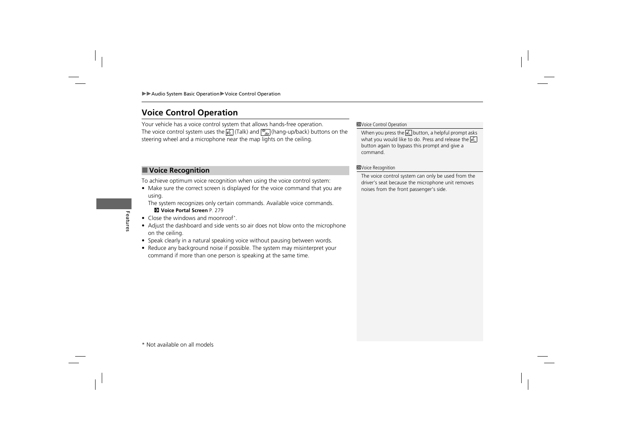# **Voice Control Operation**

Your vehicle has a voice control system that allows hands-free operation. The voice control system uses the  $\sqrt{\frac{m}{n}}$  (Talk) and  $\sqrt{\frac{m}{n}}$  (hang-up/back) buttons on the steering wheel and a microphone near the map lights on the ceiling.

# ■ **Voice Recognition**

To achieve optimum voice recognition when using the voice control system:

• Make sure the correct screen is displayed for the voice command that you are using.

The system recognizes only certain commands. Available voice commands. **2 Voice Portal Screen** P. 279

- Close the windows and moonroof\*
- Adjust the dashboard and side vents so air does not blow onto the microphone on the ceiling.
- Speak clearly in a natural speaking voice without pausing between words.
- Reduce any background noise if possible. The system may misinterpret your command if more than one person is speaking at the same time.

**Exvoice Control Operation** 

When you press the  $\sqrt{2}$  button, a helpful prompt asks what you would like to do. Press and release the  $\sqrt{2}$ button again to bypass this prompt and give a command.

#### **>Voice Recognition**

The voice control system can only be used from the driver's seat because the microphone unit removes noises from the front passenger's side.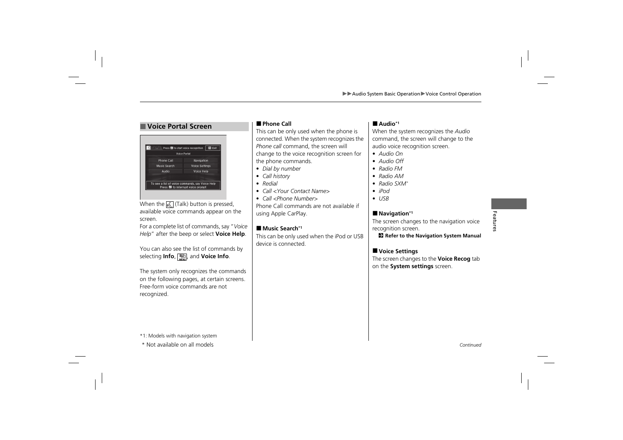# ■ **Voice Portal Screen** ■ Phone Call

|                     | <b>Voice Portal</b>   |
|---------------------|-----------------------|
| <b>Phone Call</b>   | Navigation            |
| <b>Music Search</b> | <b>Voice Settings</b> |
| Audio               | <b>Voice Help</b>     |
|                     |                       |

When the  $\sqrt{\frac{1}{n}}$  (Talk) button is pressed, available voice commands appear on the screen.

For a complete list of commands, say "*Voice Help*" after the beep or select **Voice Help**.

You can also see the list of commands by selecting **Info**, **Hell**, and **Voice Info**.

The system only recognizes the commands on the following pages, at certain screens. Free-form voice commands are not recognized.

This can be only used when the phone is connected. When the system recognizes the *Phone call* command, the screen will change to the voice recognition screen for the phone commands.

- *Dial by number*
- *Call history*
- *Redial*
- *Call <Your Contact Name>*
- *Call <Phone Number>*

Phone Call commands are not available if using Apple CarPlay.

#### ■ **Music Search\*1**

This can be only used when the iPod or USB device is connected.

#### ■ **Audio\*1**

When the system recognizes the *Audio* command, the screen will change to the audio voice recognition screen.

- *Audio On*
- *Audio Off*
- *Radio FM*
- *Radio AM*
- *Radio SXM*\*
- *iPod*
- *USB*

#### ■ **Navigation**\*<sup>1</sup>

The screen changes to the navigation voice recognition screen.

2 **Refer to the Navigation System Manual**

### ■ **Voice Settings**

The screen changes to the **Voice Recog** tab on the **System settings** screen.

\*1: Models with navigation system

\* Not available on all models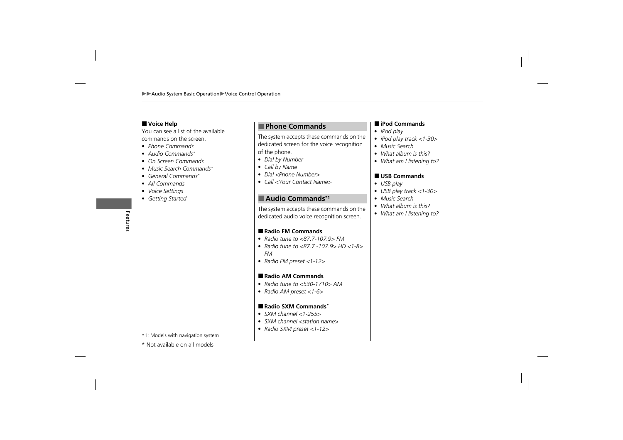### ■ **Voice Help**

You can see a list of the available commands on the screen.

- *Phone Commands*
- *Audio Commands*\*
- *On Screen Commands*
- *Music Search Commands*\*
- *General Commands*\*
- *All Commands*
- *Voice Settings*
- *Getting Started*

\*1: Models with navigation system

# ■ **Phone Commands**

The system accepts these commands on the dedicated screen for the voice recognition of the phone.

- *Dial by Number*
- *Call by Name*
- *Dial <Phone Number>*
- *Call <Your Contact Name>*

# ■ Audio Commands<sup>\*1</sup>

The system accepts these commands on the dedicated audio voice recognition screen.

#### ■ **Radio FM Commands**

- *Radio tune to <87.7-107.9> FM*
- *Radio tune to <87.7 -107.9> HD <1-8> FM*
- *Radio FM preset <1-12>*

#### ■ **Radio AM Commands**

- *Radio tune to <530-1710> AM*
- *Radio AM preset <1-6>*

#### ■ **Radio SXM Commands**\*

- *SXM channel <1-255>*
- *SXM channel <station name>*
- *Radio SXM preset <1-12>*

#### ■ **iPod Commands**

- *iPod play*
- *iPod play track <1-30>*
- *Music Search*
- *What album is this?*
- *What am I listening to?*

#### ■ **USB Commands**

- *USB play*
- *USB play track <1-30>*
- *Music Search*
- *What album is this?*
- *What am I listening to?*

- 
- \* Not available on all models